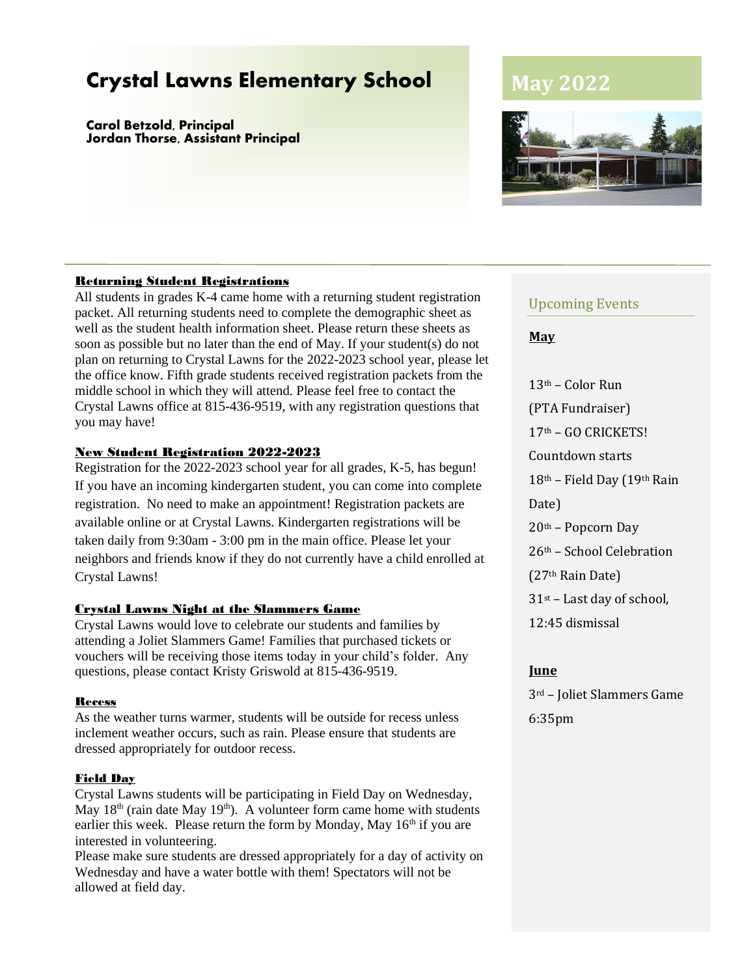# **Crystal Lawns Elementary School**

**Carol Betzold, Principal Jordan Thorse, Assistant Principal**

#### Returning Student Registrations

All students in grades K-4 came home with a returning student registration packet. All returning students need to complete the demographic sheet as well as the student health information sheet. Please return these sheets as soon as possible but no later than the end of May. If your student(s) do not plan on returning to Crystal Lawns for the 2022-2023 school year, please let the office know. Fifth grade students received registration packets from the middle school in which they will attend. Please feel free to contact the Crystal Lawns office at 815-436-9519, with any registration questions that you may have!

#### New Student Registration 2022-2023

Registration for the 2022-2023 school year for all grades, K-5, has begun! If you have an incoming kindergarten student, you can come into complete registration. No need to make an appointment! Registration packets are available online or at Crystal Lawns. Kindergarten registrations will be taken daily from 9:30am - 3:00 pm in the main office. Please let your neighbors and friends know if they do not currently have a child enrolled at Crystal Lawns!

#### Crystal Lawns Night at the Slammers Game

Crystal Lawns would love to celebrate our students and families by attending a Joliet Slammers Game! Families that purchased tickets or vouchers will be receiving those items today in your child's folder. Any questions, please contact Kristy Griswold at 815-436-9519.

#### Recess

As the weather turns warmer, students will be outside for recess unless inclement weather occurs, such as rain. Please ensure that students are dressed appropriately for outdoor recess.

#### Field Day

Crystal Lawns students will be participating in Field Day on Wednesday, May  $18<sup>th</sup>$  (rain date May  $19<sup>th</sup>$ ). A volunteer form came home with students earlier this week. Please return the form by Monday, May  $16<sup>th</sup>$  if you are interested in volunteering.

Please make sure students are dressed appropriately for a day of activity on Wednesday and have a water bottle with them! Spectators will not be allowed at field day.

# **May 2022**



#### Upcoming Events

#### **May**

13th – Color Run (PTA Fundraiser) 17th – GO CRICKETS! Countdown starts 18th – Field Day (19th Rain Date) 20th – Popcorn Day 26th – School Celebration (27th Rain Date)  $31$ <sup>st</sup> – Last day of school, 12:45 dismissal

#### **June**

3rd – Joliet Slammers Game 6:35pm